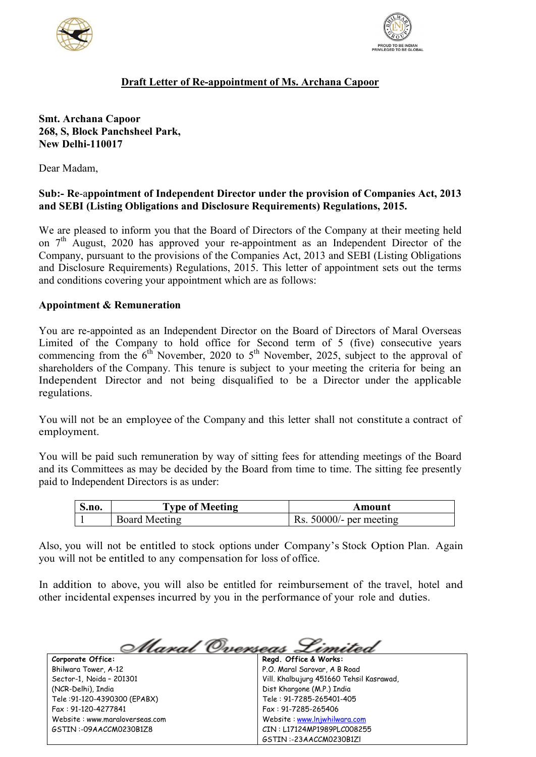



# **Draft Letter of Re-appointment of Ms. Archana Capoor**

## **Smt. Archana Capoor 268, S, Block Panchsheel Park, New Delhi-110017**

Dear Madam,

# **Sub:- Re**-a**ppointment of Independent Director under the provision of Companies Act, 2013 and SEBI (Listing Obligations and Disclosure Requirements) Regulations, 2015.**

We are pleased to inform you that the Board of Directors of the Company at their meeting held on  $7<sup>th</sup>$  August, 2020 has approved your re-appointment as an Independent Director of the Company, pursuant to the provisions of the Companies Act, 2013 and SEBI (Listing Obligations and Disclosure Requirements) Regulations, 2015. This letter of appointment sets out the terms and conditions covering your appointment which are as follows:

## **Appointment & Remuneration**

You are re-appointed as an Independent Director on the Board of Directors of Maral Overseas Limited of the Company to hold office for Second term of 5 (five) consecutive years commencing from the  $6<sup>th</sup>$  November, 2020 to  $5<sup>th</sup>$  November, 2025, subject to the approval of shareholders of the Company. This tenure is subject to your meeting the criteria for being an Independent Director and not being disqualified to be a Director under the applicable regulations.

You will not be an employee of the Company and this letter shall not constitute a contract of employment.

You will be paid such remuneration by way of sitting fees for attending meetings of the Board and its Committees as may be decided by the Board from time to time. The sitting fee presently paid to Independent Directors is as under:

| <b>S.no.</b> | <b>Type of Meeting</b> | Amount                    |
|--------------|------------------------|---------------------------|
|              | <b>Board Meeting</b>   | Rs. $50000/-$ per meeting |

Also, you will not be entitled to stock options under Company's Stock Option Plan. Again you will not be entitled to any compensation for loss of office.

In addition to above, you will also be entitled for reimbursement of the travel, hotel and other incidental expenses incurred by you in the performance of your role and duties.

**Corporate Office:** Bhilwara Tower, A-12 Sector-1, Noida – 201301 (NCR-Delhi), India Tele :91-120-4390300 (EPABX) Fax : 91-120-4277841

Website : www.maraloverseas.com GSTIN :-09AACCM0230B1Z8

Maral Overseas **Regd. Office & Works:**

P.O. Maral Sarovar, A B Road Vill. Khalbujurg 451660 Tehsil Kasrawad, Dist Khargone (M.P.) India Tele : 91-7285-265401-405 Fax : 91-7285-265406 Website : [www.lnjwhilwara.com](http://www.lnjwhilwara.com/) CIN : L17124MP1989PLC008255 GSTIN :-23AACCM0230B1Zl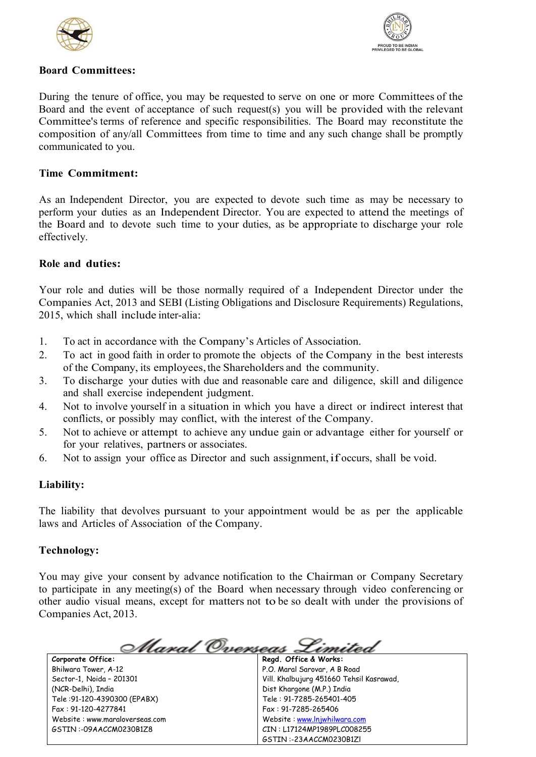



## **Board Committees:**

During the tenure of office, you may be requested to serve on one or more Committees of the Board and the event of acceptance of such request(s) you will be provided with the relevant Committee's terms of reference and specific responsibilities. The Board may reconstitute the composition of any/all Committees from time to time and any such change shall be promptly communicated to you.

## **Time Commitment:**

As an Independent Director, you are expected to devote such time as may be necessary to perform your duties as an Independent Director. You are expected to attend the meetings of the Board and to devote such time to your duties, as be appropriate to discharge your role effectively.

## **Role and duties:**

Your role and duties will be those normally required of a Independent Director under the Companies Act, 2013 and SEBI (Listing Obligations and Disclosure Requirements) Regulations, 2015, which shall include inter-alia:

- 1. To act in accordance with the Company's Articles of Association.
- 2. To act in good faith in order to promote the objects of the Company in the best interests of the Company, its employees, the Shareholders and the community.
- 3. To discharge your duties with due and reasonable care and diligence, skill and diligence and shall exercise independent judgment.
- 4. Not to involve yourself in a situation in which you have a direct or indirect interest that conflicts, or possibly may conflict, with the interest of the Company.
- 5. Not to achieve or attempt to achieve any undue gain or advantage either for yourself or for your relatives, partners or associates.
- 6. Not to assign your office as Director and such assignment,if occurs, shall be void.

# **Liability:**

The liability that devolves pursuant to your appointment would be as per the applicable laws and Articles of Association of the Company.

# **Technology:**

You may give your consent by advance notification to the Chairman or Company Secretary to participate in any meeting(s) of the Board when necessary through video conferencing or other audio visual means, except for matters not to be so dealt with under the provisions of Companies Act, 2013.

**Corporate Office:**

Bhilwara Tower, A-12 Sector-1, Noida – 201301 (NCR-Delhi), India Tele :91-120-4390300 (EPABX) Fax : 91-120-4277841 Website : www.maraloverseas.com GSTIN :-09AACCM0230B1Z8

Maral Overseas ------**Regd. Office & Works:**

P.O. Maral Sarovar, A B Road Vill. Khalbujurg 451660 Tehsil Kasrawad, Dist Khargone (M.P.) India Tele : 91-7285-265401-405 Fax : 91-7285-265406 Website : [www.lnjwhilwara.com](http://www.lnjwhilwara.com/) CIN : L17124MP1989PLC008255 GSTIN :-23AACCM0230B1Zl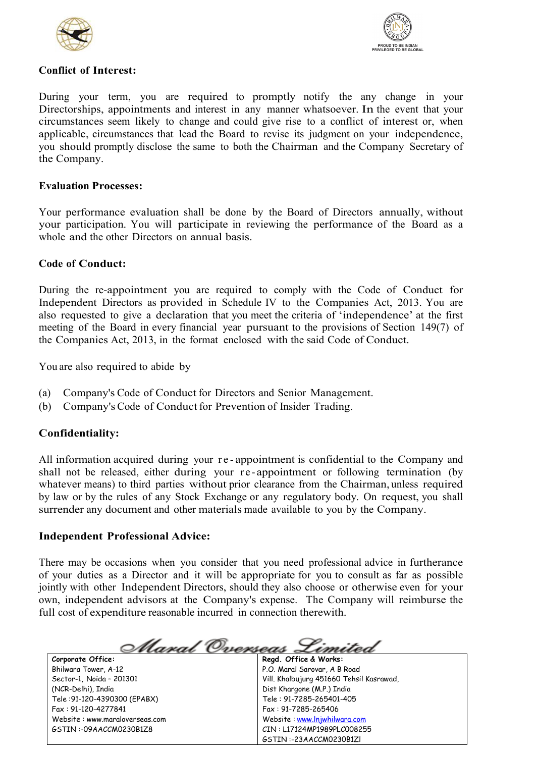



## **Conflict of Interest:**

During your term, you are required to promptly notify the any change in your Directorships, appointments and interest in any manner whatsoever. In the event that your circumstances seem likely to change and could give rise to a conflict of interest or, when applicable, circumstances that lead the Board to revise its judgment on your independence, you should promptly disclose the same to both the Chairman and the Company Secretary of the Company.

#### **Evaluation Processes:**

Your performance evaluation shall be done by the Board of Directors annually, without your participation. You will participate in reviewing the performance of the Board as a whole and the other Directors on annual basis.

#### **Code of Conduct:**

During the re-appointment you are required to comply with the Code of Conduct for Independent Directors as provided in Schedule IV to the Companies Act, 2013. You are also requested to give a declaration that you meet the criteria of 'independence' at the first meeting of the Board in every financial year pursuant to the provisions of Section 149(7) of the Companies Act, 2013, in the format enclosed with the said Code of Conduct.

You are also required to abide by

- (a) Company's Code of Conduct for Directors and Senior Management.
- (b) Company's Code of Conduct for Prevention of Insider Trading.

# **Confidentiality:**

All information acquired during your re-appointment is confidential to the Company and shall not be released, either during your re-appointment or following termination (by whatever means) to third parties without prior clearance from the Chairman, unless required by law or by the rules of any Stock Exchange or any regulatory body. On request, you shall surrender any document and other materials made available to you by the Company.

#### **Independent Professional Advice:**

There may be occasions when you consider that you need professional advice in furtherance of your duties as a Director and it will be appropriate for you to consult as far as possible jointly with other Independent Directors, should they also choose or otherwise even for your own, independent advisors at the Company's expense. The Company will reimburse the full cost of expenditure reasonable incurred in connection therewith.

<u>Maral Overseas S</u>

#### **Corporate Office:**

Bhilwara Tower, A-12 Sector-1, Noida – 201301 (NCR-Delhi), India Tele :91-120-4390300 (EPABX) Fax : 91-120-4277841 Website : www.maraloverseas.com GSTIN :-09AACCM0230B1Z8

**Regd. Office & Works:** P.O. Maral Sarovar, A B Road Vill. Khalbujurg 451660 Tehsil Kasrawad, Dist Khargone (M.P.) India Tele : 91-7285-265401-405 Fax : 91-7285-265406 Website : [www.lnjwhilwara.com](http://www.lnjwhilwara.com/) CIN : L17124MP1989PLC008255 GSTIN :-23AACCM0230B1Zl

19991800